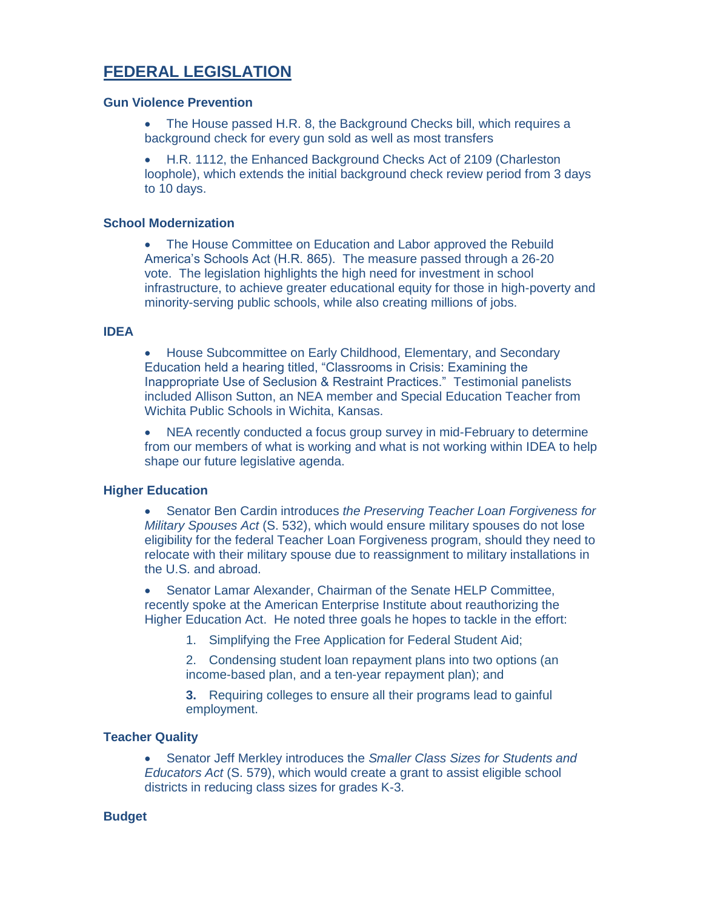# **FEDERAL LEGISLATION**

#### **Gun Violence Prevention**

• The House passed H.R. 8, the Background Checks bill, which requires a background check for every gun sold as well as most transfers

• H.R. 1112, the Enhanced Background Checks Act of 2109 (Charleston loophole), which extends the initial background check review period from 3 days to 10 days.

## **School Modernization**

• The House Committee on Education and Labor approved the Rebuild America's Schools Act (H.R. 865). The measure passed through a 26-20 vote. The legislation highlights the high need for investment in school infrastructure, to achieve greater educational equity for those in high-poverty and minority-serving public schools, while also creating millions of jobs.

## **IDEA**

• House Subcommittee on Early Childhood, Elementary, and Secondary Education held a hearing titled, "Classrooms in Crisis: Examining the Inappropriate Use of Seclusion & Restraint Practices." Testimonial panelists included Allison Sutton, an NEA member and Special Education Teacher from Wichita Public Schools in Wichita, Kansas.

• NEA recently conducted a focus group survey in mid-February to determine from our members of what is working and what is not working within IDEA to help shape our future legislative agenda.

## **Higher Education**

• Senator Ben Cardin introduces *the Preserving Teacher Loan Forgiveness for Military Spouses Act* (S. 532), which would ensure military spouses do not lose eligibility for the federal Teacher Loan Forgiveness program, should they need to relocate with their military spouse due to reassignment to military installations in the U.S. and abroad.

• Senator Lamar Alexander, Chairman of the Senate HELP Committee, recently spoke at the American Enterprise Institute about reauthorizing the Higher Education Act. He noted three goals he hopes to tackle in the effort:

1. Simplifying the Free Application for Federal Student Aid;

2. Condensing student loan repayment plans into two options (an income-based plan, and a ten-year repayment plan); and

**3.** Requiring colleges to ensure all their programs lead to gainful employment.

## **Teacher Quality**

• Senator Jeff Merkley introduces the *Smaller Class Sizes for Students and Educators Act* (S. 579), which would create a grant to assist eligible school districts in reducing class sizes for grades K-3.

## **Budget**